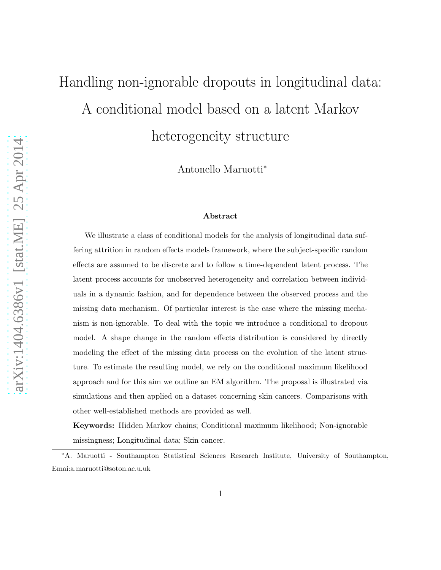# Handling non-ignorable dropouts in longitudinal data: A conditional model based on a latent Markov heterogeneity structure

Antonello Maruotti<sup>∗</sup>

#### Abstract

We illustrate a class of conditional models for the analysis of longitudinal data suffering attrition in random effects models framework, where the subject-specific random effects are assumed to be discrete and to follow a time-dependent latent process. The latent process accounts for unobserved heterogeneity and correlation between individuals in a dynamic fashion, and for dependence between the observed process and the missing data mechanism. Of particular interest is the case where the missing mechanism is non-ignorable. To deal with the topic we introduce a conditional to dropout model. A shape change in the random effects distribution is considered by directly modeling the effect of the missing data process on the evolution of the latent structure. To estimate the resulting model, we rely on the conditional maximum likelihood approach and for this aim we outline an EM algorithm. The proposal is illustrated via simulations and then applied on a dataset concerning skin cancers. Comparisons with other well-established methods are provided as well.

Keywords: Hidden Markov chains; Conditional maximum likelihood; Non-ignorable missingness; Longitudinal data; Skin cancer.

<sup>∗</sup>A. Maruotti - Southampton Statistical Sciences Research Institute, University of Southampton, Emai:a.maruotti@soton.ac.u.uk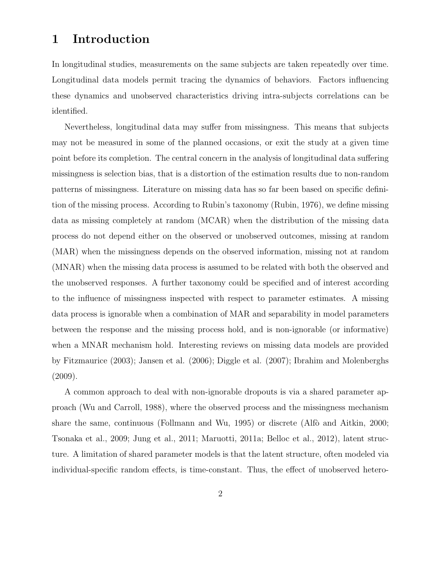## 1 Introduction

In longitudinal studies, measurements on the same subjects are taken repeatedly over time. Longitudinal data models permit tracing the dynamics of behaviors. Factors influencing these dynamics and unobserved characteristics driving intra-subjects correlations can be identified.

Nevertheless, longitudinal data may suffer from missingness. This means that subjects may not be measured in some of the planned occasions, or exit the study at a given time point before its completion. The central concern in the analysis of longitudinal data suffering missingness is selection bias, that is a distortion of the estimation results due to non-random patterns of missingness. Literature on missing data has so far been based on specific definition of the missing process. According to Rubin's taxonomy (Rubin, 1976), we define missing data as missing completely at random (MCAR) when the distribution of the missing data process do not depend either on the observed or unobserved outcomes, missing at random (MAR) when the missingness depends on the observed information, missing not at random (MNAR) when the missing data process is assumed to be related with both the observed and the unobserved responses. A further taxonomy could be specified and of interest according to the influence of missingness inspected with respect to parameter estimates. A missing data process is ignorable when a combination of MAR and separability in model parameters between the response and the missing process hold, and is non-ignorable (or informative) when a MNAR mechanism hold. Interesting reviews on missing data models are provided by Fitzmaurice (2003); Jansen et al. (2006); Diggle et al. (2007); Ibrahim and Molenberghs (2009).

A common approach to deal with non-ignorable dropouts is via a shared parameter approach (Wu and Carroll, 1988), where the observed process and the missingness mechanism share the same, continuous (Follmann and Wu, 1995) or discrete (Alfò and Aitkin, 2000; Tsonaka et al., 2009; Jung et al., 2011; Maruotti, 2011a; Belloc et al., 2012), latent structure. A limitation of shared parameter models is that the latent structure, often modeled via individual-specific random effects, is time-constant. Thus, the effect of unobserved hetero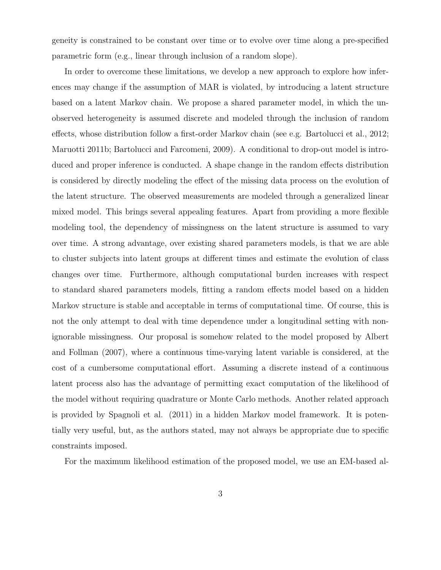geneity is constrained to be constant over time or to evolve over time along a pre-specified parametric form (e.g., linear through inclusion of a random slope).

In order to overcome these limitations, we develop a new approach to explore how inferences may change if the assumption of MAR is violated, by introducing a latent structure based on a latent Markov chain. We propose a shared parameter model, in which the unobserved heterogeneity is assumed discrete and modeled through the inclusion of random effects, whose distribution follow a first-order Markov chain (see e.g. Bartolucci et al., 2012; Maruotti 2011b; Bartolucci and Farcomeni, 2009). A conditional to drop-out model is introduced and proper inference is conducted. A shape change in the random effects distribution is considered by directly modeling the effect of the missing data process on the evolution of the latent structure. The observed measurements are modeled through a generalized linear mixed model. This brings several appealing features. Apart from providing a more flexible modeling tool, the dependency of missingness on the latent structure is assumed to vary over time. A strong advantage, over existing shared parameters models, is that we are able to cluster subjects into latent groups at different times and estimate the evolution of class changes over time. Furthermore, although computational burden increases with respect to standard shared parameters models, fitting a random effects model based on a hidden Markov structure is stable and acceptable in terms of computational time. Of course, this is not the only attempt to deal with time dependence under a longitudinal setting with nonignorable missingness. Our proposal is somehow related to the model proposed by Albert and Follman (2007), where a continuous time-varying latent variable is considered, at the cost of a cumbersome computational effort. Assuming a discrete instead of a continuous latent process also has the advantage of permitting exact computation of the likelihood of the model without requiring quadrature or Monte Carlo methods. Another related approach is provided by Spagnoli et al. (2011) in a hidden Markov model framework. It is potentially very useful, but, as the authors stated, may not always be appropriate due to specific constraints imposed.

For the maximum likelihood estimation of the proposed model, we use an EM-based al-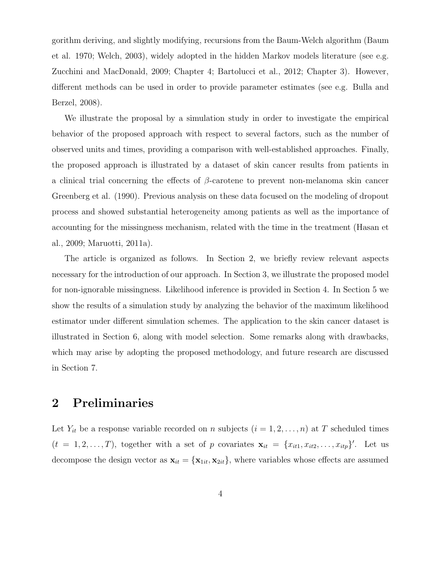gorithm deriving, and slightly modifying, recursions from the Baum-Welch algorithm (Baum et al. 1970; Welch, 2003), widely adopted in the hidden Markov models literature (see e.g. Zucchini and MacDonald, 2009; Chapter 4; Bartolucci et al., 2012; Chapter 3). However, different methods can be used in order to provide parameter estimates (see e.g. Bulla and Berzel, 2008).

We illustrate the proposal by a simulation study in order to investigate the empirical behavior of the proposed approach with respect to several factors, such as the number of observed units and times, providing a comparison with well-established approaches. Finally, the proposed approach is illustrated by a dataset of skin cancer results from patients in a clinical trial concerning the effects of  $\beta$ -carotene to prevent non-melanoma skin cancer Greenberg et al. (1990). Previous analysis on these data focused on the modeling of dropout process and showed substantial heterogeneity among patients as well as the importance of accounting for the missingness mechanism, related with the time in the treatment (Hasan et al., 2009; Maruotti, 2011a).

The article is organized as follows. In Section 2, we briefly review relevant aspects necessary for the introduction of our approach. In Section 3, we illustrate the proposed model for non-ignorable missingness. Likelihood inference is provided in Section 4. In Section 5 we show the results of a simulation study by analyzing the behavior of the maximum likelihood estimator under different simulation schemes. The application to the skin cancer dataset is illustrated in Section 6, along with model selection. Some remarks along with drawbacks, which may arise by adopting the proposed methodology, and future research are discussed in Section 7.

## 2 Preliminaries

Let  $Y_{it}$  be a response variable recorded on n subjects  $(i = 1, 2, ..., n)$  at T scheduled times  $(t = 1, 2, \ldots, T)$ , together with a set of p covariates  $\mathbf{x}_{it} = \{x_{it1}, x_{it2}, \ldots, x_{itp}\}'$ . Let us decompose the design vector as  $\mathbf{x}_{it} = {\mathbf{x}_{1it}, \mathbf{x}_{2it}}$ , where variables whose effects are assumed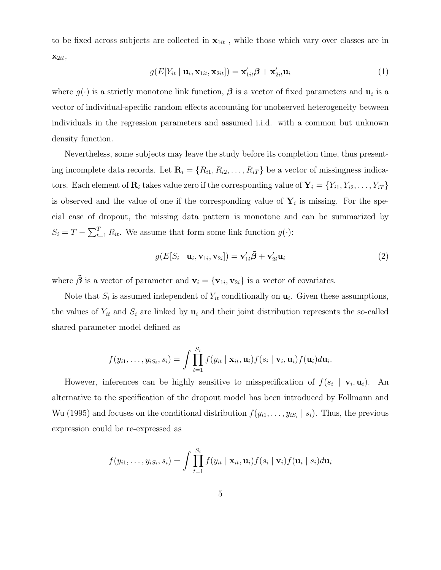to be fixed across subjects are collected in  $x_{1it}$ , while those which vary over classes are in  $\mathbf{x}_{2it}$ 

$$
g(E[Y_{it} \mid \mathbf{u}_i, \mathbf{x}_{1it}, \mathbf{x}_{2it}]) = \mathbf{x}'_{1it} \boldsymbol{\beta} + \mathbf{x}'_{2it} \mathbf{u}_i
$$
\n(1)

where  $g(\cdot)$  is a strictly monotone link function,  $\boldsymbol{\beta}$  is a vector of fixed parameters and  $\mathbf{u}_i$  is a vector of individual-specific random effects accounting for unobserved heterogeneity between individuals in the regression parameters and assumed i.i.d. with a common but unknown density function.

Nevertheless, some subjects may leave the study before its completion time, thus presenting incomplete data records. Let  $\mathbf{R}_i = \{R_{i1}, R_{i2}, \ldots, R_{iT}\}\$ be a vector of missingness indicators. Each element of  $\mathbf{R}_i$  takes value zero if the corresponding value of  $\mathbf{Y}_i = \{Y_{i1}, Y_{i2}, \ldots, Y_{iT}\}$ is observed and the value of one if the corresponding value of  $Y_i$  is missing. For the special case of dropout, the missing data pattern is monotone and can be summarized by  $S_i = T - \sum_{t=1}^{T} R_{it}$ . We assume that form some link function  $g(\cdot)$ :

$$
g(E[S_i \mid \mathbf{u}_i, \mathbf{v}_{1i}, \mathbf{v}_{2i}]) = \mathbf{v}'_{1i}\tilde{\boldsymbol{\beta}} + \mathbf{v}'_{2i}\mathbf{u}_i
$$
\n(2)

where  $\tilde{\boldsymbol{\beta}}$  is a vector of parameter and  $\mathbf{v}_i = {\mathbf{v}_{1i}, \mathbf{v}_{2i}}$  is a vector of covariates.

Note that  $S_i$  is assumed independent of  $Y_{it}$  conditionally on  $\mathbf{u}_i$ . Given these assumptions, the values of  $Y_{it}$  and  $S_i$  are linked by  $\mathbf{u}_i$  and their joint distribution represents the so-called shared parameter model defined as

$$
f(y_{i1},\ldots,y_{iS_i},s_i)=\int\prod_{t=1}^{S_i}f(y_{it}\mid\mathbf{x}_{it},\mathbf{u}_i)f(s_i\mid\mathbf{v}_i,\mathbf{u}_i)f(\mathbf{u}_i)d\mathbf{u}_i.
$$

However, inferences can be highly sensitive to misspecification of  $f(s_i | \mathbf{v}_i, \mathbf{u}_i)$ . An alternative to the specification of the dropout model has been introduced by Follmann and Wu (1995) and focuses on the conditional distribution  $f(y_{i1},..., y_{iS_i} | s_i)$ . Thus, the previous expression could be re-expressed as

$$
f(y_{i1},\ldots,y_{iS_i},s_i)=\int\prod_{t=1}^{S_i}f(y_{it}\mid\mathbf{x}_{it},\mathbf{u}_i)f(s_i\mid\mathbf{v}_i)f(\mathbf{u}_i\mid s_i)d\mathbf{u}_i
$$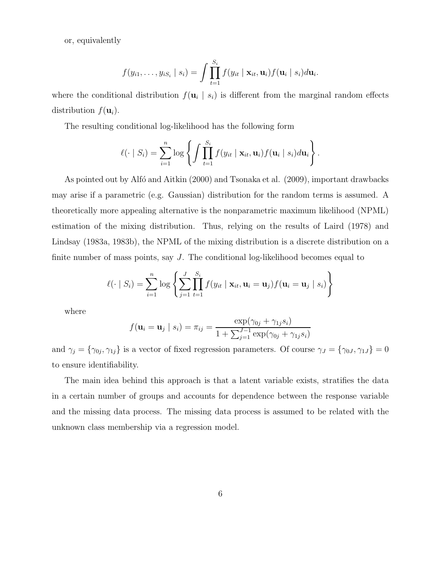or, equivalently

$$
f(y_{i1},\ldots,y_{iS_i}\mid s_i)=\int\prod_{t=1}^{S_i}f(y_{it}\mid\mathbf{x}_{it},\mathbf{u}_i)f(\mathbf{u}_i\mid s_i)d\mathbf{u}_i.
$$

where the conditional distribution  $f(\mathbf{u}_i | s_i)$  is different from the marginal random effects distribution  $f(\mathbf{u}_i)$ .

The resulting conditional log-likelihood has the following form

$$
\ell(\cdot \mid S_i) = \sum_{i=1}^n \log \left\{ \int \prod_{t=1}^{S_i} f(y_{it} \mid \mathbf{x}_{it}, \mathbf{u}_i) f(\mathbf{u}_i \mid s_i) d\mathbf{u}_i \right\}.
$$

As pointed out by Alfo and Aitkin (2000) and Tsonaka et al. (2009), important drawbacks may arise if a parametric (e.g. Gaussian) distribution for the random terms is assumed. A theoretically more appealing alternative is the nonparametric maximum likelihood (NPML) estimation of the mixing distribution. Thus, relying on the results of Laird (1978) and Lindsay (1983a, 1983b), the NPML of the mixing distribution is a discrete distribution on a finite number of mass points, say J. The conditional log-likelihood becomes equal to

$$
\ell(\cdot \mid S_i) = \sum_{i=1}^n \log \left\{ \sum_{j=1}^J \prod_{t=1}^{S_i} f(y_{it} \mid \mathbf{x}_{it}, \mathbf{u}_i = \mathbf{u}_j) f(\mathbf{u}_i = \mathbf{u}_j \mid s_i) \right\}
$$

where

$$
f(\mathbf{u}_i = \mathbf{u}_j | s_i) = \pi_{ij} = \frac{\exp(\gamma_{0j} + \gamma_{1j}s_i)}{1 + \sum_{j=1}^{J-1} \exp(\gamma_{0j} + \gamma_{1j}s_i)}
$$

and  $\gamma_j = \{\gamma_{0j}, \gamma_{1j}\}\$ is a vector of fixed regression parameters. Of course  $\gamma_J = \{\gamma_{0J}, \gamma_{1J}\}=0$ to ensure identifiability.

The main idea behind this approach is that a latent variable exists, stratifies the data in a certain number of groups and accounts for dependence between the response variable and the missing data process. The missing data process is assumed to be related with the unknown class membership via a regression model.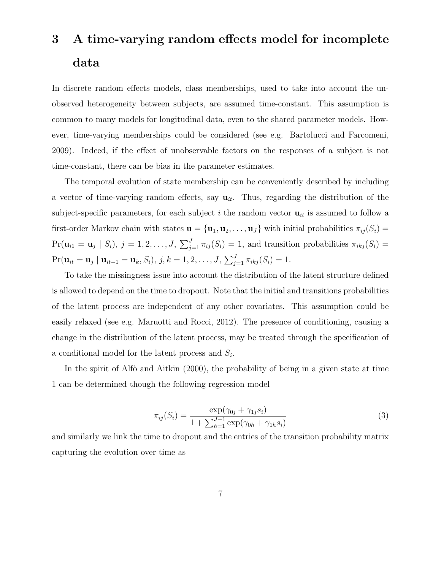## 3 A time-varying random effects model for incomplete data

In discrete random effects models, class memberships, used to take into account the unobserved heterogeneity between subjects, are assumed time-constant. This assumption is common to many models for longitudinal data, even to the shared parameter models. However, time-varying memberships could be considered (see e.g. Bartolucci and Farcomeni, 2009). Indeed, if the effect of unobservable factors on the responses of a subject is not time-constant, there can be bias in the parameter estimates.

The temporal evolution of state membership can be conveniently described by including a vector of time-varying random effects, say  $u_{it}$ . Thus, regarding the distribution of the subject-specific parameters, for each subject i the random vector  $\mathbf{u}_{it}$  is assumed to follow a first-order Markov chain with states  $\mathbf{u} = {\mathbf{u}_1, \mathbf{u}_2, \dots, \mathbf{u}_J}$  with initial probabilities  $\pi_{ij}(S_i)$  $Pr(\mathbf{u}_{i1} = \mathbf{u}_{j} | S_i), j = 1, 2, \ldots, J, \sum_{j=1}^{J} \pi_{ij}(S_i) = 1$ , and transition probabilities  $\pi_{ikj}(S_i) =$  $Pr(\mathbf{u}_{it} = \mathbf{u}_j \mid \mathbf{u}_{it-1} = \mathbf{u}_k, S_i), j, k = 1, 2, ..., J, \sum_{j=1}^{J} \pi_{ikj}(S_i) = 1.$ 

To take the missingness issue into account the distribution of the latent structure defined is allowed to depend on the time to dropout. Note that the initial and transitions probabilities of the latent process are independent of any other covariates. This assumption could be easily relaxed (see e.g. Maruotti and Rocci, 2012). The presence of conditioning, causing a change in the distribution of the latent process, may be treated through the specification of a conditional model for the latent process and  $S_i$ .

In the spirit of Alfò and Aitkin  $(2000)$ , the probability of being in a given state at time 1 can be determined though the following regression model

<span id="page-6-0"></span>
$$
\pi_{ij}(S_i) = \frac{\exp(\gamma_{0j} + \gamma_{1j} s_i)}{1 + \sum_{h=1}^{J-1} \exp(\gamma_{0h} + \gamma_{1h} s_i)}
$$
(3)

and similarly we link the time to dropout and the entries of the transition probability matrix capturing the evolution over time as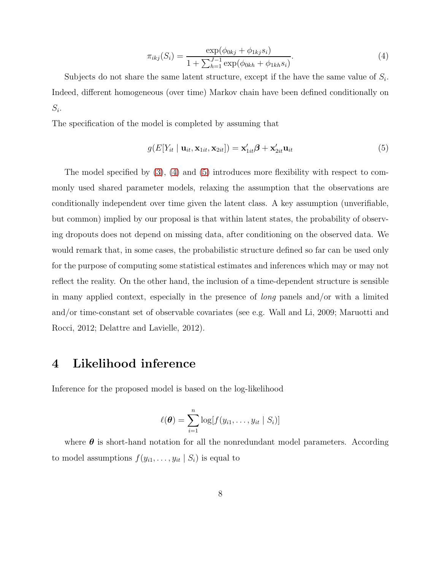<span id="page-7-0"></span>
$$
\pi_{ikj}(S_i) = \frac{\exp(\phi_{0kj} + \phi_{1kj}s_i)}{1 + \sum_{h=1}^{J-1} \exp(\phi_{0kh} + \phi_{1kh}s_i)}.
$$
\n(4)

Subjects do not share the same latent structure, except if the have the same value of  $S_i$ . Indeed, different homogeneous (over time) Markov chain have been defined conditionally on  $S_i$ .

The specification of the model is completed by assuming that

<span id="page-7-1"></span>
$$
g(E[Y_{it} \mid \mathbf{u}_{it}, \mathbf{x}_{1it}, \mathbf{x}_{2it}]) = \mathbf{x}'_{1it} \boldsymbol{\beta} + \mathbf{x}'_{2it} \mathbf{u}_{it}
$$
(5)

The model specified by [\(3\)](#page-6-0), [\(4\)](#page-7-0) and [\(5\)](#page-7-1) introduces more flexibility with respect to commonly used shared parameter models, relaxing the assumption that the observations are conditionally independent over time given the latent class. A key assumption (unverifiable, but common) implied by our proposal is that within latent states, the probability of observing dropouts does not depend on missing data, after conditioning on the observed data. We would remark that, in some cases, the probabilistic structure defined so far can be used only for the purpose of computing some statistical estimates and inferences which may or may not reflect the reality. On the other hand, the inclusion of a time-dependent structure is sensible in many applied context, especially in the presence of *long* panels and/or with a limited and/or time-constant set of observable covariates (see e.g. Wall and Li, 2009; Maruotti and Rocci, 2012; Delattre and Lavielle, 2012).

### 4 Likelihood inference

Inference for the proposed model is based on the log-likelihood

$$
\ell(\boldsymbol{\theta}) = \sum_{i=1}^n \log[f(y_{i1}, \ldots, y_{it} | S_i)]
$$

where  $\theta$  is short-hand notation for all the nonredundant model parameters. According to model assumptions  $f(y_{i1}, \ldots, y_{it} | S_i)$  is equal to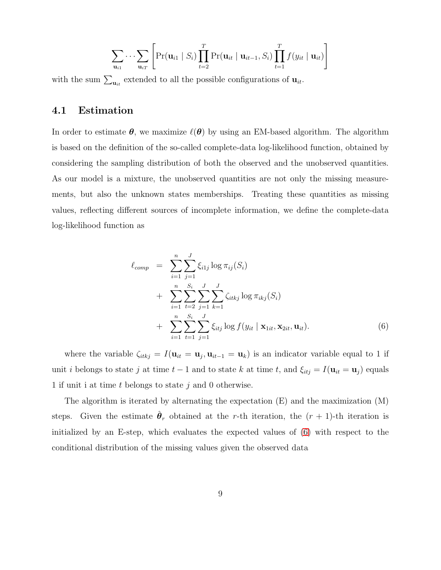$$
\sum_{\mathbf{u}_{i1}} \cdots \sum_{\mathbf{u}_{iT}} \left[ \Pr(\mathbf{u}_{i1} | S_i) \prod_{t=2}^T \Pr(\mathbf{u}_{it} | \mathbf{u}_{it-1}, S_i) \prod_{t=1}^T f(y_{it} | \mathbf{u}_{it}) \right]
$$

with the sum  $\sum_{\mathbf{u}_{it}}$  extended to all the possible configurations of  $\mathbf{u}_{it}$ .

#### 4.1 Estimation

In order to estimate  $\theta$ , we maximize  $\ell(\theta)$  by using an EM-based algorithm. The algorithm is based on the definition of the so-called complete-data log-likelihood function, obtained by considering the sampling distribution of both the observed and the unobserved quantities. As our model is a mixture, the unobserved quantities are not only the missing measurements, but also the unknown states memberships. Treating these quantities as missing values, reflecting different sources of incomplete information, we define the complete-data log-likelihood function as

<span id="page-8-0"></span>
$$
\ell_{comp} = \sum_{i=1}^{n} \sum_{j=1}^{J} \xi_{i1j} \log \pi_{ij}(S_i) \n+ \sum_{i=1}^{n} \sum_{t=2}^{S_i} \sum_{j=1}^{J} \sum_{k=1}^{J} \zeta_{itkj} \log \pi_{ikj}(S_i) \n+ \sum_{i=1}^{n} \sum_{t=1}^{S_i} \sum_{j=1}^{J} \xi_{itj} \log f(y_{it} | \mathbf{x}_{1it}, \mathbf{x}_{2it}, \mathbf{u}_{it}).
$$
\n(6)

where the variable  $\zeta_{itkj} = I(\mathbf{u}_{it} = \mathbf{u}_j, \mathbf{u}_{it-1} = \mathbf{u}_k)$  is an indicator variable equal to 1 if unit *i* belongs to state j at time  $t - 1$  and to state k at time t, and  $\xi_{itj} = I(\mathbf{u}_{it} = \mathbf{u}_j)$  equals 1 if unit i at time t belongs to state j and 0 otherwise.

The algorithm is iterated by alternating the expectation (E) and the maximization (M) steps. Given the estimate  $\hat{\theta}_r$  obtained at the r-th iteration, the  $(r + 1)$ -th iteration is initialized by an E-step, which evaluates the expected values of [\(6\)](#page-8-0) with respect to the conditional distribution of the missing values given the observed data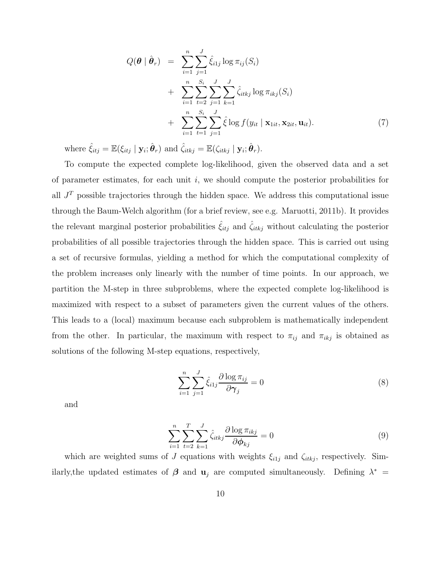$$
Q(\theta | \hat{\theta}_r) = \sum_{i=1}^n \sum_{j=1}^J \hat{\xi}_{i1j} \log \pi_{ij}(S_i)
$$
  
+ 
$$
\sum_{i=1}^n \sum_{t=2}^{S_i} \sum_{j=1}^J \sum_{k=1}^J \hat{\zeta}_{itkj} \log \pi_{ikj}(S_i)
$$
  
+ 
$$
\sum_{i=1}^n \sum_{t=1}^{S_i} \sum_{j=1}^J \hat{\xi} \log f(y_{it} | \mathbf{x}_{1it}, \mathbf{x}_{2it}, \mathbf{u}_{it}).
$$
 (7)

where  $\hat{\xi}_{itj} = \mathbb{E}(\xi_{itj} | \mathbf{y}_i; \hat{\boldsymbol{\theta}}_r)$  and  $\hat{\zeta}_{itkj} = \mathbb{E}(\zeta_{itkj} | \mathbf{y}_i; \hat{\boldsymbol{\theta}}_r)$ .

To compute the expected complete log-likelihood, given the observed data and a set of parameter estimates, for each unit  $i$ , we should compute the posterior probabilities for all  $J<sup>T</sup>$  possible trajectories through the hidden space. We address this computational issue through the Baum-Welch algorithm (for a brief review, see e.g. Maruotti, 2011b). It provides the relevant marginal posterior probabilities  $\hat{\xi}_{itj}$  and  $\hat{\zeta}_{itkj}$  without calculating the posterior probabilities of all possible trajectories through the hidden space. This is carried out using a set of recursive formulas, yielding a method for which the computational complexity of the problem increases only linearly with the number of time points. In our approach, we partition the M-step in three subproblems, where the expected complete log-likelihood is maximized with respect to a subset of parameters given the current values of the others. This leads to a (local) maximum because each subproblem is mathematically independent from the other. In particular, the maximum with respect to  $\pi_{ij}$  and  $\pi_{ikj}$  is obtained as solutions of the following M-step equations, respectively,

<span id="page-9-0"></span>
$$
\sum_{i=1}^{n} \sum_{j=1}^{J} \hat{\xi}_{i1j} \frac{\partial \log \pi_{ij}}{\partial \gamma_j} = 0
$$
\n(8)

and

<span id="page-9-1"></span>
$$
\sum_{i=1}^{n} \sum_{t=2}^{T} \sum_{k=1}^{J} \hat{\zeta}_{itkj} \frac{\partial \log \pi_{ikj}}{\partial \phi_{kj}} = 0
$$
\n(9)

which are weighted sums of J equations with weights  $\xi_{i1j}$  and  $\zeta_{itkj}$ , respectively. Similarly, the updated estimates of  $\beta$  and  $\mathbf{u}_j$  are computed simultaneously. Defining  $\lambda^*$  =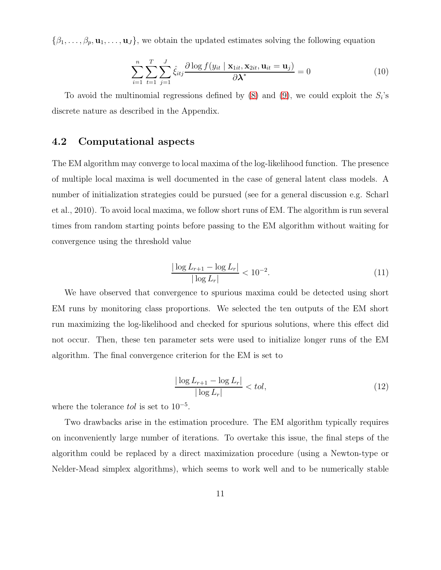$\{\beta_1,\ldots,\beta_p,\mathbf{u}_1,\ldots,\mathbf{u}_J\}$ , we obtain the updated estimates solving the following equation

$$
\sum_{i=1}^{n} \sum_{t=1}^{T} \sum_{j=1}^{J} \hat{\xi}_{itj} \frac{\partial \log f(y_{it} \mid \mathbf{x}_{1it}, \mathbf{x}_{2it}, \mathbf{u}_{it} = \mathbf{u}_j)}{\partial \mathbf{\lambda}^*} = 0
$$
\n(10)

To avoid the multinomial regressions defined by  $(8)$  and  $(9)$ , we could exploit the  $S_i$ 's discrete nature as described in the Appendix.

#### 4.2 Computational aspects

The EM algorithm may converge to local maxima of the log-likelihood function. The presence of multiple local maxima is well documented in the case of general latent class models. A number of initialization strategies could be pursued (see for a general discussion e.g. Scharl et al., 2010). To avoid local maxima, we follow short runs of EM. The algorithm is run several times from random starting points before passing to the EM algorithm without waiting for convergence using the threshold value

$$
\frac{|\log L_{r+1} - \log L_r|}{|\log L_r|} < 10^{-2}.\tag{11}
$$

We have observed that convergence to spurious maxima could be detected using short EM runs by monitoring class proportions. We selected the ten outputs of the EM short run maximizing the log-likelihood and checked for spurious solutions, where this effect did not occur. Then, these ten parameter sets were used to initialize longer runs of the EM algorithm. The final convergence criterion for the EM is set to

$$
\frac{|\log L_{r+1} - \log L_r|}{|\log L_r|} < tol,\tag{12}
$$

where the tolerance *tol* is set to  $10^{-5}$ .

Two drawbacks arise in the estimation procedure. The EM algorithm typically requires on inconveniently large number of iterations. To overtake this issue, the final steps of the algorithm could be replaced by a direct maximization procedure (using a Newton-type or Nelder-Mead simplex algorithms), which seems to work well and to be numerically stable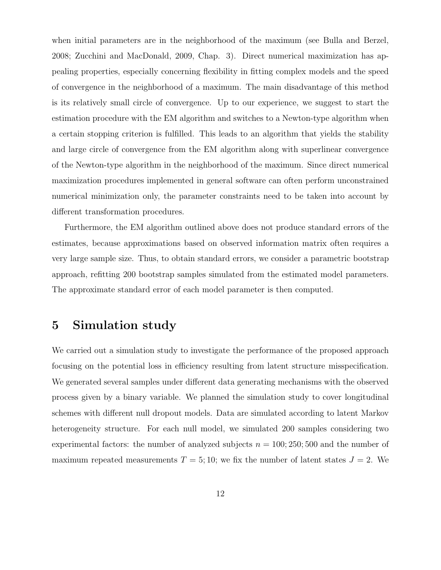when initial parameters are in the neighborhood of the maximum (see Bulla and Berzel, 2008; Zucchini and MacDonald, 2009, Chap. 3). Direct numerical maximization has appealing properties, especially concerning flexibility in fitting complex models and the speed of convergence in the neighborhood of a maximum. The main disadvantage of this method is its relatively small circle of convergence. Up to our experience, we suggest to start the estimation procedure with the EM algorithm and switches to a Newton-type algorithm when a certain stopping criterion is fulfilled. This leads to an algorithm that yields the stability and large circle of convergence from the EM algorithm along with superlinear convergence of the Newton-type algorithm in the neighborhood of the maximum. Since direct numerical maximization procedures implemented in general software can often perform unconstrained numerical minimization only, the parameter constraints need to be taken into account by different transformation procedures.

Furthermore, the EM algorithm outlined above does not produce standard errors of the estimates, because approximations based on observed information matrix often requires a very large sample size. Thus, to obtain standard errors, we consider a parametric bootstrap approach, refitting 200 bootstrap samples simulated from the estimated model parameters. The approximate standard error of each model parameter is then computed.

## 5 Simulation study

We carried out a simulation study to investigate the performance of the proposed approach focusing on the potential loss in efficiency resulting from latent structure misspecification. We generated several samples under different data generating mechanisms with the observed process given by a binary variable. We planned the simulation study to cover longitudinal schemes with different null dropout models. Data are simulated according to latent Markov heterogeneity structure. For each null model, we simulated 200 samples considering two experimental factors: the number of analyzed subjects  $n = 100; 250; 500$  and the number of maximum repeated measurements  $T = 5, 10$ ; we fix the number of latent states  $J = 2$ . We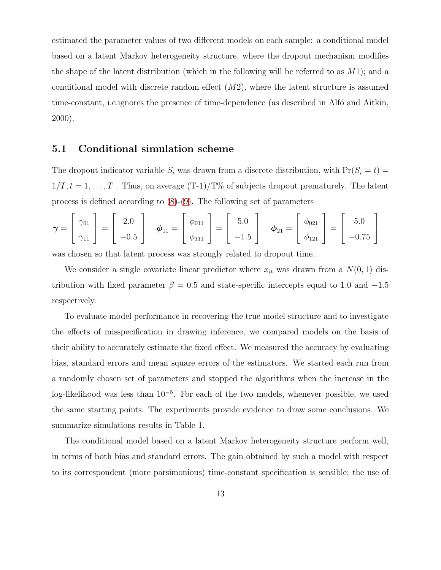estimated the parameter values of two different models on each sample: a conditional model based on a latent Markov heterogeneity structure, where the dropout mechanism modifies the shape of the latent distribution (which in the following will be referred to as  $M_1$ ); and a conditional model with discrete random effect  $(M2)$ , where the latent structure is assumed time-constant, i.e. ignores the presence of time-dependence (as described in Alfo and Aitkin, 2000).

#### 5.1 Conditional simulation scheme

The dropout indicator variable  $S_i$  was drawn from a discrete distribution, with  $Pr(S_i = t)$  $1/T, t = 1, \ldots, T$ . Thus, on average  $(T-1)/T$ % of subjects dropout prematurely. The latent process is defined according to  $(8)-(9)$  $(8)-(9)$ . The following set of parameters

$$
\boldsymbol{\gamma} = \begin{bmatrix} \gamma_{01} \\ \gamma_{11} \end{bmatrix} = \begin{bmatrix} 2.0 \\ -0.5 \end{bmatrix} \quad \boldsymbol{\phi}_{11} = \begin{bmatrix} \phi_{011} \\ \phi_{111} \end{bmatrix} = \begin{bmatrix} 5.0 \\ -1.5 \end{bmatrix} \quad \boldsymbol{\phi}_{21} = \begin{bmatrix} \phi_{021} \\ \phi_{121} \end{bmatrix} = \begin{bmatrix} 5.0 \\ -0.75 \end{bmatrix}
$$

was chosen so that latent process was strongly related to dropout time.

We consider a single covariate linear predictor where  $x_{it}$  was drawn from a  $N(0, 1)$  distribution with fixed parameter  $\beta = 0.5$  and state-specific intercepts equal to 1.0 and  $-1.5$ respectively.

To evaluate model performance in recovering the true model structure and to investigate the effects of misspecification in drawing inference, we compared models on the basis of their ability to accurately estimate the fixed effect. We measured the accuracy by evaluating bias, standard errors and mean square errors of the estimators. We started each run from a randomly chosen set of parameters and stopped the algorithms when the increase in the log-likelihood was less than 10<sup>-5</sup>. For each of the two models, whenever possible, we used the same starting points. The experiments provide evidence to draw some conclusions. We summarize simulations results in Table 1.

The conditional model based on a latent Markov heterogeneity structure perform well, in terms of both bias and standard errors. The gain obtained by such a model with respect to its correspondent (more parsimonious) time-constant specification is sensible; the use of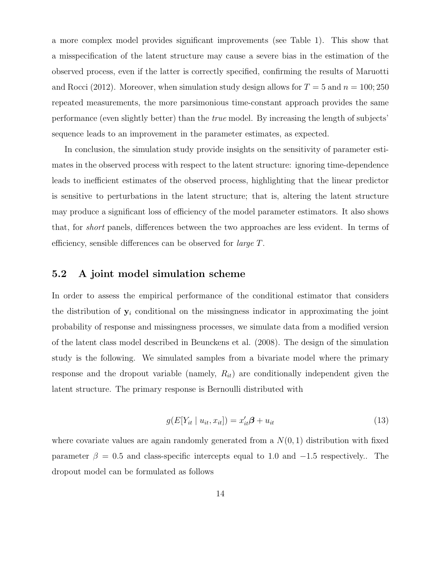a more complex model provides significant improvements (see Table 1). This show that a misspecification of the latent structure may cause a severe bias in the estimation of the observed process, even if the latter is correctly specified, confirming the results of Maruotti and Rocci (2012). Moreover, when simulation study design allows for  $T = 5$  and  $n = 100; 250$ repeated measurements, the more parsimonious time-constant approach provides the same performance (even slightly better) than the true model. By increasing the length of subjects' sequence leads to an improvement in the parameter estimates, as expected.

In conclusion, the simulation study provide insights on the sensitivity of parameter estimates in the observed process with respect to the latent structure: ignoring time-dependence leads to inefficient estimates of the observed process, highlighting that the linear predictor is sensitive to perturbations in the latent structure; that is, altering the latent structure may produce a significant loss of efficiency of the model parameter estimators. It also shows that, for short panels, differences between the two approaches are less evident. In terms of efficiency, sensible differences can be observed for large T.

#### 5.2 A joint model simulation scheme

In order to assess the empirical performance of the conditional estimator that considers the distribution of  $y_i$  conditional on the missingness indicator in approximating the joint probability of response and missingness processes, we simulate data from a modified version of the latent class model described in Beunckens et al. (2008). The design of the simulation study is the following. We simulated samples from a bivariate model where the primary response and the dropout variable (namely,  $R_{it}$ ) are conditionally independent given the latent structure. The primary response is Bernoulli distributed with

$$
g(E[Y_{it} \mid u_{it}, x_{it}]) = x_{it}'\boldsymbol{\beta} + u_{it}
$$
\n
$$
(13)
$$

where covariate values are again randomly generated from a  $N(0, 1)$  distribution with fixed parameter  $\beta = 0.5$  and class-specific intercepts equal to 1.0 and  $-1.5$  respectively.. The dropout model can be formulated as follows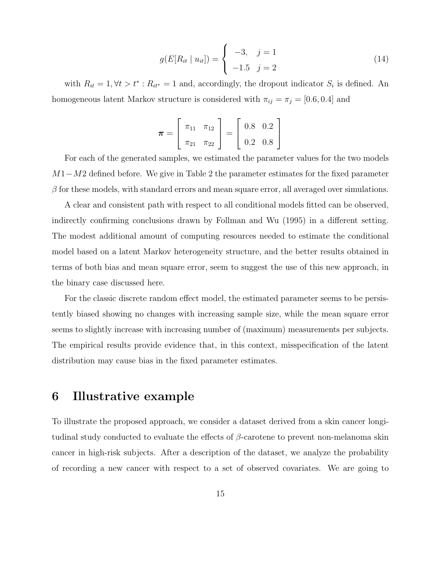$$
g(E[R_{it} | u_{it}]) = \begin{cases} -3, & j = 1 \\ -1.5 & j = 2 \end{cases}
$$
 (14)

with  $R_{it} = 1, \forall t > t^* : R_{it^*} = 1$  and, accordingly, the dropout indicator  $S_i$  is defined. An homogeneous latent Markov structure is considered with  $\pi_{ij} = \pi_j = [0.6, 0.4]$  and

$$
\boldsymbol{\pi} = \left[ \begin{array}{cc} \pi_{11} & \pi_{12} \\ \pi_{21} & \pi_{22} \end{array} \right] = \left[ \begin{array}{cc} 0.8 & 0.2 \\ 0.2 & 0.8 \end{array} \right]
$$

For each of the generated samples, we estimated the parameter values for the two models  $M1-M2$  defined before. We give in Table 2 the parameter estimates for the fixed parameter  $\beta$  for these models, with standard errors and mean square error, all averaged over simulations.

A clear and consistent path with respect to all conditional models fitted can be observed, indirectly confirming conclusions drawn by Follman and Wu (1995) in a different setting. The modest additional amount of computing resources needed to estimate the conditional model based on a latent Markov heterogeneity structure, and the better results obtained in terms of both bias and mean square error, seem to suggest the use of this new approach, in the binary case discussed here.

For the classic discrete random effect model, the estimated parameter seems to be persistently biased showing no changes with increasing sample size, while the mean square error seems to slightly increase with increasing number of (maximum) measurements per subjects. The empirical results provide evidence that, in this context, misspecification of the latent distribution may cause bias in the fixed parameter estimates.

## 6 Illustrative example

To illustrate the proposed approach, we consider a dataset derived from a skin cancer longitudinal study conducted to evaluate the effects of  $\beta$ -carotene to prevent non-melanoma skin cancer in high-risk subjects. After a description of the dataset, we analyze the probability of recording a new cancer with respect to a set of observed covariates. We are going to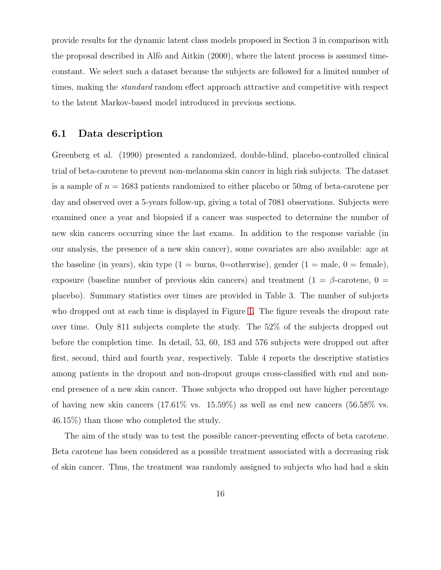provide results for the dynamic latent class models proposed in Section 3 in comparison with the proposal described in Alfò and Aitkin (2000), where the latent process is assumed timeconstant. We select such a dataset because the subjects are followed for a limited number of times, making the *standard* random effect approach attractive and competitive with respect to the latent Markov-based model introduced in previous sections.

#### 6.1 Data description

Greenberg et al. (1990) presented a randomized, double-blind, placebo-controlled clinical trial of beta-carotene to prevent non-melanoma skin cancer in high risk subjects. The dataset is a sample of  $n = 1683$  patients randomized to either placebo or 50mg of beta-carotene per day and observed over a 5-years follow-up, giving a total of 7081 observations. Subjects were examined once a year and biopsied if a cancer was suspected to determine the number of new skin cancers occurring since the last exams. In addition to the response variable (in our analysis, the presence of a new skin cancer), some covariates are also available: age at the baseline (in years), skin type  $(1 = \text{burns}, 0 = \text{otherwise})$ , gender  $(1 = \text{male}, 0 = \text{female})$ , exposure (baseline number of previous skin cancers) and treatment (1 =  $\beta$ -carotene, 0 = placebo). Summary statistics over times are provided in Table 3. The number of subjects who dropped out at each time is displayed in Figure [1.](#page-28-0) The figure reveals the dropout rate over time. Only 811 subjects complete the study. The 52% of the subjects dropped out before the completion time. In detail, 53, 60, 183 and 576 subjects were dropped out after first, second, third and fourth year, respectively. Table 4 reports the descriptive statistics among patients in the dropout and non-dropout groups cross-classified with end and nonend presence of a new skin cancer. Those subjects who dropped out have higher percentage of having new skin cancers  $(17.61\%$  vs.  $15.59\%)$  as well as end new cancers  $(56.58\%$  vs. 46.15%) than those who completed the study.

The aim of the study was to test the possible cancer-preventing effects of beta carotene. Beta carotene has been considered as a possible treatment associated with a decreasing risk of skin cancer. Thus, the treatment was randomly assigned to subjects who had had a skin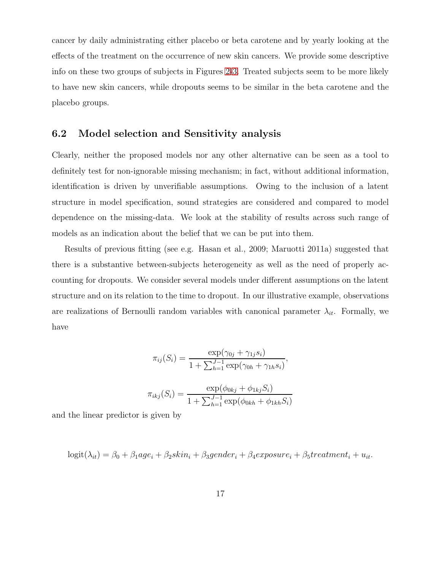cancer by daily administrating either placebo or beta carotene and by yearly looking at the effects of the treatment on the occurrence of new skin cancers. We provide some descriptive info on these two groups of subjects in Figures [2](#page-28-1)[-3.](#page-29-0) Treated subjects seem to be more likely to have new skin cancers, while dropouts seems to be similar in the beta carotene and the placebo groups.

#### 6.2 Model selection and Sensitivity analysis

Clearly, neither the proposed models nor any other alternative can be seen as a tool to definitely test for non-ignorable missing mechanism; in fact, without additional information, identification is driven by unverifiable assumptions. Owing to the inclusion of a latent structure in model specification, sound strategies are considered and compared to model dependence on the missing-data. We look at the stability of results across such range of models as an indication about the belief that we can be put into them.

Results of previous fitting (see e.g. Hasan et al., 2009; Maruotti 2011a) suggested that there is a substantive between-subjects heterogeneity as well as the need of properly accounting for dropouts. We consider several models under different assumptions on the latent structure and on its relation to the time to dropout. In our illustrative example, observations are realizations of Bernoulli random variables with canonical parameter  $\lambda_{it}$ . Formally, we have

$$
\pi_{ij}(S_i) = \frac{\exp(\gamma_{0j} + \gamma_{1j}s_i)}{1 + \sum_{h=1}^{J-1} \exp(\gamma_{0h} + \gamma_{1h}s_i)},
$$

$$
\pi_{ikj}(S_i) = \frac{\exp(\phi_{0kj} + \phi_{1kj}S_i)}{1 + \sum_{h=1}^{J-1} \exp(\phi_{0kh} + \phi_{1kh}S_i)}
$$

and the linear predictor is given by

$$
logit(\lambda_{it}) = \beta_0 + \beta_1 age_i + \beta_2 skin_i + \beta_3 gender_i + \beta_4 exposure_i + \beta_5 treatment_i + u_{it}.
$$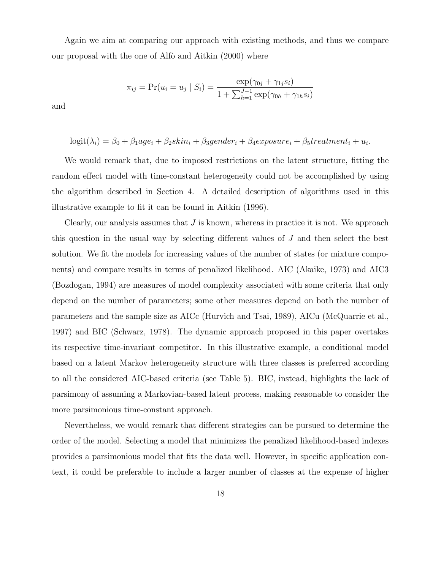Again we aim at comparing our approach with existing methods, and thus we compare our proposal with the one of Alfo and Aitkin (2000) where

$$
\pi_{ij} = \Pr(u_i = u_j \mid S_i) = \frac{\exp(\gamma_{0j} + \gamma_{1j} s_i)}{1 + \sum_{h=1}^{J-1} \exp(\gamma_{0h} + \gamma_{1h} s_i)}
$$

and

$$
logit(\lambda_i) = \beta_0 + \beta_1 age_i + \beta_2 skin_i + \beta_3 gender_i + \beta_4 exposure_i + \beta_5 treatment_i + u_i.
$$

We would remark that, due to imposed restrictions on the latent structure, fitting the random effect model with time-constant heterogeneity could not be accomplished by using the algorithm described in Section 4. A detailed description of algorithms used in this illustrative example to fit it can be found in Aitkin (1996).

Clearly, our analysis assumes that  $J$  is known, whereas in practice it is not. We approach this question in the usual way by selecting different values of  $J$  and then select the best solution. We fit the models for increasing values of the number of states (or mixture components) and compare results in terms of penalized likelihood. AIC (Akaike, 1973) and AIC3 (Bozdogan, 1994) are measures of model complexity associated with some criteria that only depend on the number of parameters; some other measures depend on both the number of parameters and the sample size as AICc (Hurvich and Tsai, 1989), AICu (McQuarrie et al., 1997) and BIC (Schwarz, 1978). The dynamic approach proposed in this paper overtakes its respective time-invariant competitor. In this illustrative example, a conditional model based on a latent Markov heterogeneity structure with three classes is preferred according to all the considered AIC-based criteria (see Table 5). BIC, instead, highlights the lack of parsimony of assuming a Markovian-based latent process, making reasonable to consider the more parsimonious time-constant approach.

Nevertheless, we would remark that different strategies can be pursued to determine the order of the model. Selecting a model that minimizes the penalized likelihood-based indexes provides a parsimonious model that fits the data well. However, in specific application context, it could be preferable to include a larger number of classes at the expense of higher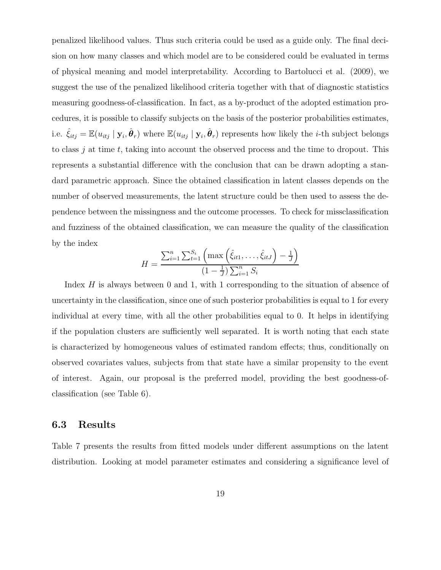penalized likelihood values. Thus such criteria could be used as a guide only. The final decision on how many classes and which model are to be considered could be evaluated in terms of physical meaning and model interpretability. According to Bartolucci et al. (2009), we suggest the use of the penalized likelihood criteria together with that of diagnostic statistics measuring goodness-of-classification. In fact, as a by-product of the adopted estimation procedures, it is possible to classify subjects on the basis of the posterior probabilities estimates, i.e.  $\hat{\xi}_{itj} = \mathbb{E}(u_{itj} | \mathbf{y}_i, \hat{\boldsymbol{\theta}}_r)$  where  $\mathbb{E}(u_{itj} | \mathbf{y}_i, \hat{\boldsymbol{\theta}}_r)$  represents how likely the *i*-th subject belongs to class j at time t, taking into account the observed process and the time to dropout. This represents a substantial difference with the conclusion that can be drawn adopting a standard parametric approach. Since the obtained classification in latent classes depends on the number of observed measurements, the latent structure could be then used to assess the dependence between the missingness and the outcome processes. To check for missclassification and fuzziness of the obtained classification, we can measure the quality of the classification by the index

$$
H = \frac{\sum_{i=1}^{n} \sum_{t=1}^{S_i} \left( \max \left( \hat{\xi}_{it1}, \dots, \hat{\xi}_{itJ} \right) - \frac{1}{J} \right)}{(1 - \frac{1}{J}) \sum_{i=1}^{n} S_i}
$$

Index  $H$  is always between 0 and 1, with 1 corresponding to the situation of absence of uncertainty in the classification, since one of such posterior probabilities is equal to 1 for every individual at every time, with all the other probabilities equal to 0. It helps in identifying if the population clusters are sufficiently well separated. It is worth noting that each state is characterized by homogeneous values of estimated random effects; thus, conditionally on observed covariates values, subjects from that state have a similar propensity to the event of interest. Again, our proposal is the preferred model, providing the best goodness-ofclassification (see Table 6).

#### 6.3 Results

Table 7 presents the results from fitted models under different assumptions on the latent distribution. Looking at model parameter estimates and considering a significance level of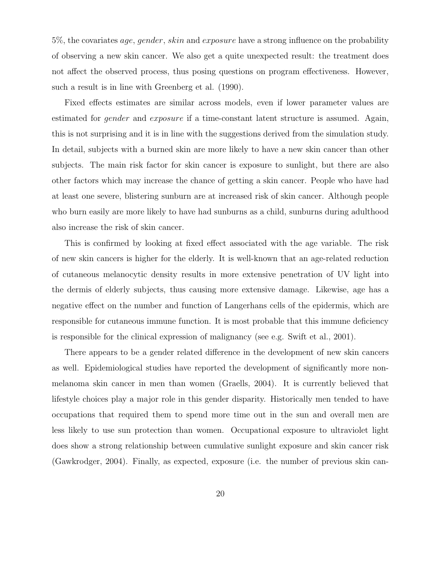5%, the covariates age, gender, skin and exposure have a strong influence on the probability of observing a new skin cancer. We also get a quite unexpected result: the treatment does not affect the observed process, thus posing questions on program effectiveness. However, such a result is in line with Greenberg et al. (1990).

Fixed effects estimates are similar across models, even if lower parameter values are estimated for *gender* and *exposure* if a time-constant latent structure is assumed. Again, this is not surprising and it is in line with the suggestions derived from the simulation study. In detail, subjects with a burned skin are more likely to have a new skin cancer than other subjects. The main risk factor for skin cancer is exposure to sunlight, but there are also other factors which may increase the chance of getting a skin cancer. People who have had at least one severe, blistering sunburn are at increased risk of skin cancer. Although people who burn easily are more likely to have had sunburns as a child, sunburns during adulthood also increase the risk of skin cancer.

This is confirmed by looking at fixed effect associated with the age variable. The risk of new skin cancers is higher for the elderly. It is well-known that an age-related reduction of cutaneous melanocytic density results in more extensive penetration of UV light into the dermis of elderly subjects, thus causing more extensive damage. Likewise, age has a negative effect on the number and function of Langerhans cells of the epidermis, which are responsible for cutaneous immune function. It is most probable that this immune deficiency is responsible for the clinical expression of malignancy (see e.g. Swift et al., 2001).

There appears to be a gender related difference in the development of new skin cancers as well. Epidemiological studies have reported the development of significantly more nonmelanoma skin cancer in men than women (Graells, 2004). It is currently believed that lifestyle choices play a major role in this gender disparity. Historically men tended to have occupations that required them to spend more time out in the sun and overall men are less likely to use sun protection than women. Occupational exposure to ultraviolet light does show a strong relationship between cumulative sunlight exposure and skin cancer risk (Gawkrodger, 2004). Finally, as expected, exposure (i.e. the number of previous skin can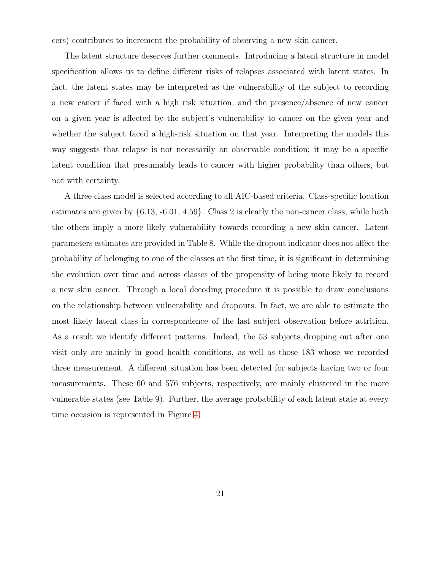cers) contributes to increment the probability of observing a new skin cancer.

The latent structure deserves further comments. Introducing a latent structure in model specification allows us to define different risks of relapses associated with latent states. In fact, the latent states may be interpreted as the vulnerability of the subject to recording a new cancer if faced with a high risk situation, and the presence/absence of new cancer on a given year is affected by the subject's vulnerability to cancer on the given year and whether the subject faced a high-risk situation on that year. Interpreting the models this way suggests that relapse is not necessarily an observable condition; it may be a specific latent condition that presumably leads to cancer with higher probability than others, but not with certainty.

A three class model is selected according to all AIC-based criteria. Class-specific location estimates are given by  $\{6.13, -6.01, 4.59\}$ . Class 2 is clearly the non-cancer class, while both the others imply a more likely vulnerability towards recording a new skin cancer. Latent parameters estimates are provided in Table 8. While the dropout indicator does not affect the probability of belonging to one of the classes at the first time, it is significant in determining the evolution over time and across classes of the propensity of being more likely to record a new skin cancer. Through a local decoding procedure it is possible to draw conclusions on the relationship between vulnerability and dropouts. In fact, we are able to estimate the most likely latent class in correspondence of the last subject observation before attrition. As a result we identify different patterns. Indeed, the 53 subjects dropping out after one visit only are mainly in good health conditions, as well as those 183 whose we recorded three measurement. A different situation has been detected for subjects having two or four measurements. These 60 and 576 subjects, respectively, are mainly clustered in the more vulnerable states (see Table 9). Further, the average probability of each latent state at every time occasion is represented in Figure [4.](#page-29-1)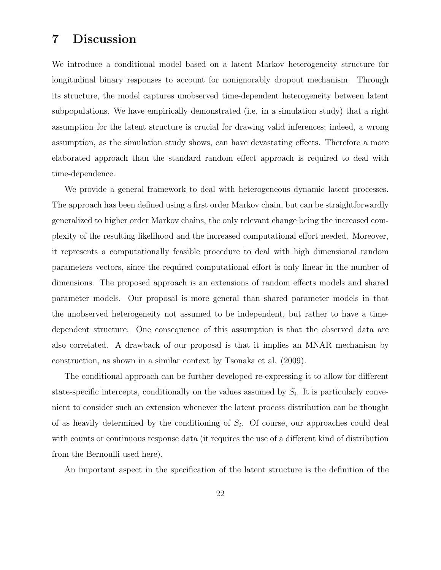## 7 Discussion

We introduce a conditional model based on a latent Markov heterogeneity structure for longitudinal binary responses to account for nonignorably dropout mechanism. Through its structure, the model captures unobserved time-dependent heterogeneity between latent subpopulations. We have empirically demonstrated (i.e. in a simulation study) that a right assumption for the latent structure is crucial for drawing valid inferences; indeed, a wrong assumption, as the simulation study shows, can have devastating effects. Therefore a more elaborated approach than the standard random effect approach is required to deal with time-dependence.

We provide a general framework to deal with heterogeneous dynamic latent processes. The approach has been defined using a first order Markov chain, but can be straightforwardly generalized to higher order Markov chains, the only relevant change being the increased complexity of the resulting likelihood and the increased computational effort needed. Moreover, it represents a computationally feasible procedure to deal with high dimensional random parameters vectors, since the required computational effort is only linear in the number of dimensions. The proposed approach is an extensions of random effects models and shared parameter models. Our proposal is more general than shared parameter models in that the unobserved heterogeneity not assumed to be independent, but rather to have a timedependent structure. One consequence of this assumption is that the observed data are also correlated. A drawback of our proposal is that it implies an MNAR mechanism by construction, as shown in a similar context by Tsonaka et al. (2009).

The conditional approach can be further developed re-expressing it to allow for different state-specific intercepts, conditionally on the values assumed by  $S_i$ . It is particularly convenient to consider such an extension whenever the latent process distribution can be thought of as heavily determined by the conditioning of  $S_i$ . Of course, our approaches could deal with counts or continuous response data (it requires the use of a different kind of distribution from the Bernoulli used here).

An important aspect in the specification of the latent structure is the definition of the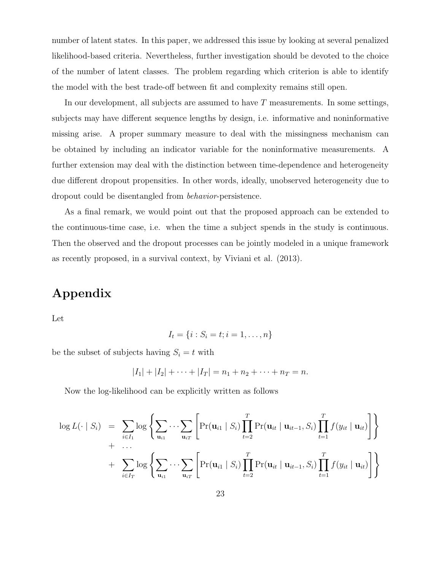number of latent states. In this paper, we addressed this issue by looking at several penalized likelihood-based criteria. Nevertheless, further investigation should be devoted to the choice of the number of latent classes. The problem regarding which criterion is able to identify the model with the best trade-off between fit and complexity remains still open.

In our development, all subjects are assumed to have  $T$  measurements. In some settings, subjects may have different sequence lengths by design, i.e. informative and noninformative missing arise. A proper summary measure to deal with the missingness mechanism can be obtained by including an indicator variable for the noninformative measurements. A further extension may deal with the distinction between time-dependence and heterogeneity due different dropout propensities. In other words, ideally, unobserved heterogeneity due to dropout could be disentangled from behavior-persistence.

As a final remark, we would point out that the proposed approach can be extended to the continuous-time case, i.e. when the time a subject spends in the study is continuous. Then the observed and the dropout processes can be jointly modeled in a unique framework as recently proposed, in a survival context, by Viviani et al. (2013).

## Appendix

Let

$$
I_t = \{i : S_i = t; i = 1, \dots, n\}
$$

be the subset of subjects having  $S_i = t$  with

$$
|I_1| + |I_2| + \cdots + |I_T| = n_1 + n_2 + \cdots + n_T = n.
$$

Now the log-likelihood can be explicitly written as follows

$$
\log L(\cdot \mid S_i) = \sum_{i \in I_1} \log \left\{ \sum_{\mathbf{u}_{i1}} \cdots \sum_{\mathbf{u}_{iT}} \left[ \Pr(\mathbf{u}_{i1} \mid S_i) \prod_{t=2}^T \Pr(\mathbf{u}_{it} \mid \mathbf{u}_{it-1}, S_i) \prod_{t=1}^T f(y_{it} \mid \mathbf{u}_{it}) \right] \right\} + \cdots + \sum_{i \in I_T} \log \left\{ \sum_{\mathbf{u}_{i1}} \cdots \sum_{\mathbf{u}_{iT}} \left[ \Pr(\mathbf{u}_{i1} \mid S_i) \prod_{t=2}^T \Pr(\mathbf{u}_{it} \mid \mathbf{u}_{it-1}, S_i) \prod_{t=1}^T f(y_{it} \mid \mathbf{u}_{it}) \right] \right\}
$$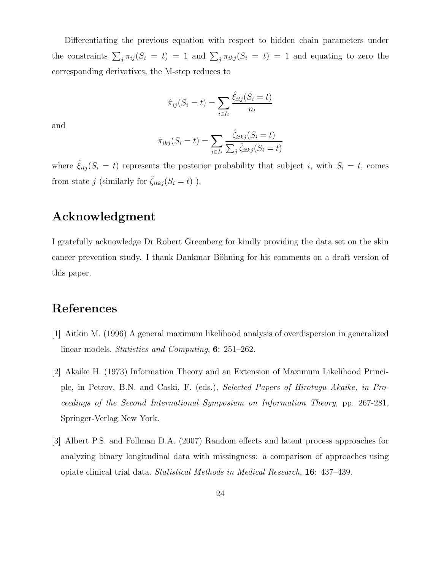Differentiating the previous equation with respect to hidden chain parameters under the constraints  $\sum_{j} \pi_{ij} (S_i = t) = 1$  and  $\sum_{j} \pi_{ikj} (S_i = t) = 1$  and equating to zero the corresponding derivatives, the M-step reduces to

$$
\hat{\pi}_{ij}(S_i = t) = \sum_{i \in I_t} \frac{\hat{\xi}_{itj}(S_i = t)}{n_t}
$$

and

$$
\hat{\pi}_{ikj}(S_i = t) = \sum_{i \in I_t} \frac{\hat{\zeta}_{ikj}(S_i = t)}{\sum_j \hat{\zeta}_{ikj}(S_i = t)}
$$

where  $\hat{\xi}_{itj}(S_i = t)$  represents the posterior probability that subject i, with  $S_i = t$ , comes from state  $j$  (similarly for  $\hat{\zeta}_{itkj}(S_i = t)$ ).

## Acknowledgment

I gratefully acknowledge Dr Robert Greenberg for kindly providing the data set on the skin cancer prevention study. I thank Dankmar Böhning for his comments on a draft version of this paper.

## References

- [1] Aitkin M. (1996) A general maximum likelihood analysis of overdispersion in generalized linear models. Statistics and Computing, 6: 251–262.
- [2] Akaike H. (1973) Information Theory and an Extension of Maximum Likelihood Principle, in Petrov, B.N. and Caski, F. (eds.), Selected Papers of Hirotugu Akaike, in Proceedings of the Second International Symposium on Information Theory, pp. 267-281, Springer-Verlag New York.
- [3] Albert P.S. and Follman D.A. (2007) Random effects and latent process approaches for analyzing binary longitudinal data with missingness: a comparison of approaches using opiate clinical trial data. Statistical Methods in Medical Research, 16: 437–439.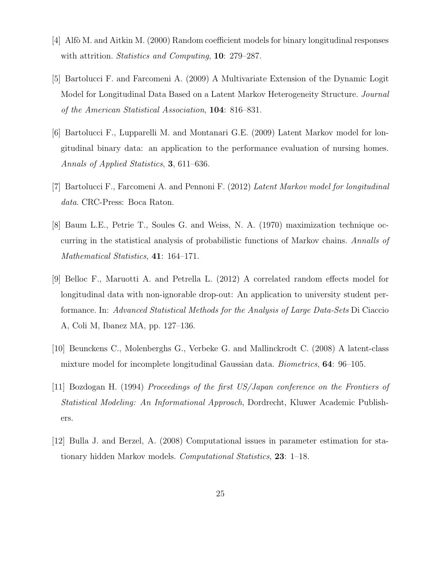- [4] Alfò M. and Aitkin M. (2000) Random coefficient models for binary longitudinal responses with attrition. Statistics and Computing, 10: 279–287.
- [5] Bartolucci F. and Farcomeni A. (2009) A Multivariate Extension of the Dynamic Logit Model for Longitudinal Data Based on a Latent Markov Heterogeneity Structure. Journal of the American Statistical Association, 104: 816–831.
- [6] Bartolucci F., Lupparelli M. and Montanari G.E. (2009) Latent Markov model for longitudinal binary data: an application to the performance evaluation of nursing homes. Annals of Applied Statistics, 3, 611–636.
- [7] Bartolucci F., Farcomeni A. and Pennoni F. (2012) Latent Markov model for longitudinal data. CRC-Press: Boca Raton.
- [8] Baum L.E., Petrie T., Soules G. and Weiss, N. A. (1970) maximization technique occurring in the statistical analysis of probabilistic functions of Markov chains. Annalls of Mathematical Statistics, **41**: 164–171.
- [9] Belloc F., Maruotti A. and Petrella L. (2012) A correlated random effects model for longitudinal data with non-ignorable drop-out: An application to university student performance. In: Advanced Statistical Methods for the Analysis of Large Data-Sets Di Ciaccio A, Coli M, Ibanez MA, pp. 127–136.
- [10] Beunckens C., Molenberghs G., Verbeke G. and Mallinckrodt C. (2008) A latent-class mixture model for incomplete longitudinal Gaussian data. Biometrics, 64: 96–105.
- [11] Bozdogan H. (1994) Proceedings of the first US/Japan conference on the Frontiers of Statistical Modeling: An Informational Approach, Dordrecht, Kluwer Academic Publishers.
- [12] Bulla J. and Berzel, A. (2008) Computational issues in parameter estimation for stationary hidden Markov models. Computational Statistics, 23: 1–18.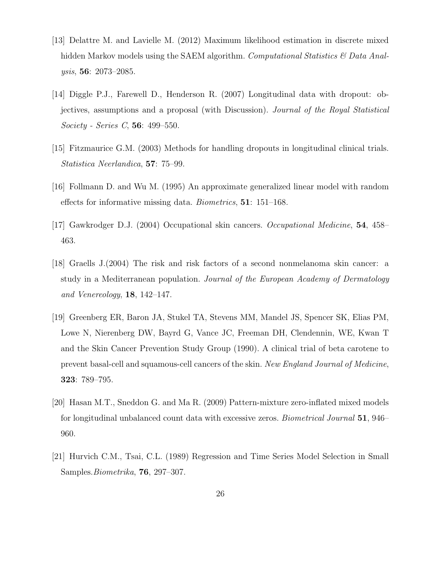- [13] Delattre M. and Lavielle M. (2012) Maximum likelihood estimation in discrete mixed hidden Markov models using the SAEM algorithm. Computational Statistics  $\mathcal{E}$  Data Analysis, 56: 2073–2085.
- [14] Diggle P.J., Farewell D., Henderson R. (2007) Longitudinal data with dropout: objectives, assumptions and a proposal (with Discussion). Journal of the Royal Statistical Society - Series C, 56: 499–550.
- [15] Fitzmaurice G.M. (2003) Methods for handling dropouts in longitudinal clinical trials. Statistica Neerlandica, 57: 75–99.
- [16] Follmann D. and Wu M. (1995) An approximate generalized linear model with random effects for informative missing data. Biometrics, 51: 151–168.
- [17] Gawkrodger D.J. (2004) Occupational skin cancers. Occupational Medicine, 54, 458– 463.
- [18] Graells J.(2004) The risk and risk factors of a second nonmelanoma skin cancer: a study in a Mediterranean population. Journal of the European Academy of Dermatology and Venereology, 18, 142–147.
- [19] Greenberg ER, Baron JA, Stukel TA, Stevens MM, Mandel JS, Spencer SK, Elias PM, Lowe N, Nierenberg DW, Bayrd G, Vance JC, Freeman DH, Clendennin, WE, Kwan T and the Skin Cancer Prevention Study Group (1990). A clinical trial of beta carotene to prevent basal-cell and squamous-cell cancers of the skin. New England Journal of Medicine, 323: 789–795.
- [20] Hasan M.T., Sneddon G. and Ma R. (2009) Pattern-mixture zero-inflated mixed models for longitudinal unbalanced count data with excessive zeros. Biometrical Journal 51, 946– 960.
- [21] Hurvich C.M., Tsai, C.L. (1989) Regression and Time Series Model Selection in Small Samples.Biometrika, 76, 297–307.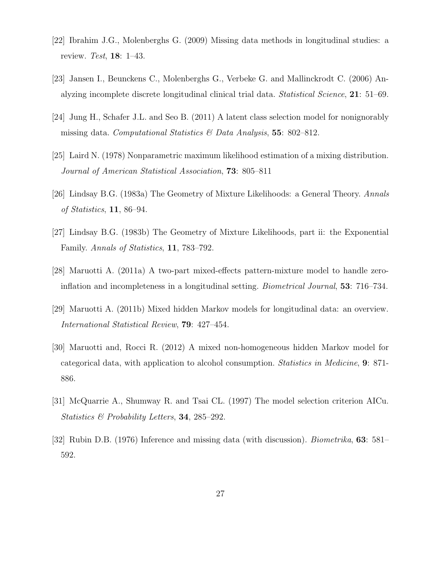- [22] Ibrahim J.G., Molenberghs G. (2009) Missing data methods in longitudinal studies: a review. Test, 18: 1–43.
- [23] Jansen I., Beunckens C., Molenberghs G., Verbeke G. and Mallinckrodt C. (2006) Analyzing incomplete discrete longitudinal clinical trial data. Statistical Science, 21: 51–69.
- [24] Jung H., Schafer J.L. and Seo B. (2011) A latent class selection model for nonignorably missing data. Computational Statistics  $\mathcal{B}$  Data Analysis, 55: 802–812.
- [25] Laird N. (1978) Nonparametric maximum likelihood estimation of a mixing distribution. Journal of American Statistical Association, 73: 805–811
- [26] Lindsay B.G. (1983a) The Geometry of Mixture Likelihoods: a General Theory. Annals of Statistics, 11, 86–94.
- [27] Lindsay B.G. (1983b) The Geometry of Mixture Likelihoods, part ii: the Exponential Family. Annals of Statistics, 11, 783–792.
- [28] Maruotti A. (2011a) A two-part mixed-effects pattern-mixture model to handle zeroinflation and incompleteness in a longitudinal setting. Biometrical Journal, 53: 716–734.
- [29] Maruotti A. (2011b) Mixed hidden Markov models for longitudinal data: an overview. International Statistical Review, 79: 427–454.
- [30] Maruotti and, Rocci R. (2012) A mixed non-homogeneous hidden Markov model for categorical data, with application to alcohol consumption. Statistics in Medicine, 9: 871- 886.
- [31] McQuarrie A., Shumway R. and Tsai CL. (1997) The model selection criterion AICu. Statistics & Probability Letters, 34, 285–292.
- [32] Rubin D.B. (1976) Inference and missing data (with discussion). Biometrika, 63: 581– 592.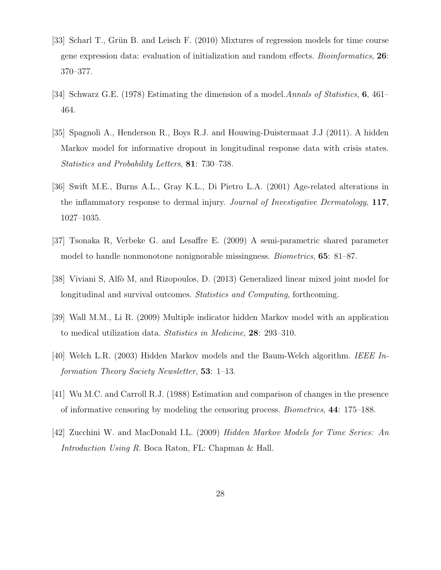- [33] Scharl T., Grün B. and Leisch F. (2010) Mixtures of regression models for time course gene expression data: evaluation of initialization and random effects. Bioinformatics, 26: 370–377.
- [34] Schwarz G.E. (1978) Estimating the dimension of a model.Annals of Statistics, 6, 461– 464.
- [35] Spagnoli A., Henderson R., Boys R.J. and Houwing-Duistermaat J.J (2011). A hidden Markov model for informative dropout in longitudinal response data with crisis states. Statistics and Probability Letters, 81: 730–738.
- [36] Swift M.E., Burns A.L., Gray K.L., Di Pietro L.A. (2001) Age-related alterations in the inflammatory response to dermal injury. Journal of Investigative Dermatology, 117, 1027–1035.
- [37] Tsonaka R, Verbeke G. and Lesaffre E. (2009) A semi-parametric shared parameter model to handle nonmonotone nonignorable missingness. Biometrics, 65: 81–87.
- [38] Viviani S, Alf`o M, and Rizopoulos, D. (2013) Generalized linear mixed joint model for longitudinal and survival outcomes. Statistics and Computing, forthcoming.
- [39] Wall M.M., Li R. (2009) Multiple indicator hidden Markov model with an application to medical utilization data. Statistics in Medicine, 28: 293–310.
- [40] Welch L.R. (2003) Hidden Markov models and the Baum-Welch algorithm. IEEE Information Theory Society Newsletter, 53: 1–13.
- [41] Wu M.C. and Carroll R.J. (1988) Estimation and comparison of changes in the presence of informative censoring by modeling the censoring process. Biometrics, 44: 175–188.
- [42] Zucchini W. and MacDonald I.L. (2009) Hidden Markov Models for Time Series: An Introduction Using R. Boca Raton, FL: Chapman & Hall.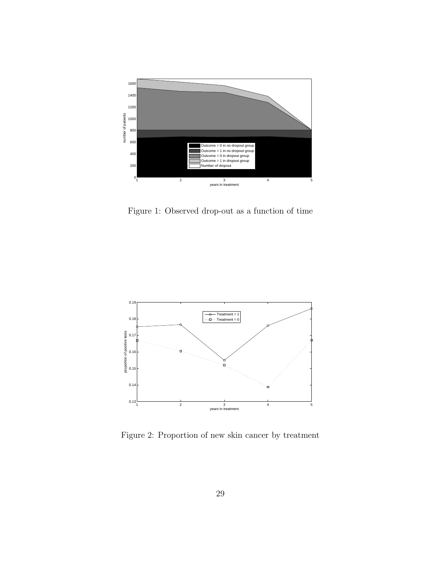

<span id="page-28-0"></span>Figure 1: Observed drop-out as a function of time



<span id="page-28-1"></span>Figure 2: Proportion of new skin cancer by treatment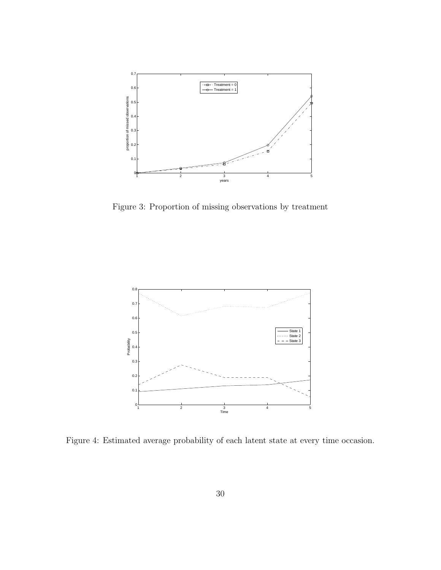

<span id="page-29-0"></span>Figure 3: Proportion of missing observations by treatment



<span id="page-29-1"></span>Figure 4: Estimated average probability of each latent state at every time occasion.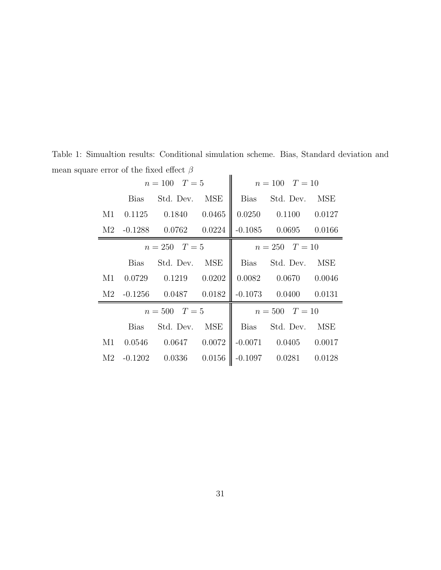Table 1: Simualtion results: Conditional simulation scheme. Bias, Standard deviation and mean square error of the fixed effect  $\beta$  $\mathbf{u}$ 

|    |        | $n = 100$ $T = 5$           |  | $n = 100$ $T = 10$                                      |  |
|----|--------|-----------------------------|--|---------------------------------------------------------|--|
|    |        | Bias Std. Dev. MSE          |  | Bias Std. Dev. MSE                                      |  |
| M1 |        | $0.1125$ $0.1840$ $0.0465$  |  | $0.0250$ $0.1100$ $0.0127$                              |  |
|    |        | M2 -0.1288 0.0762 0.0224    |  | $-0.1085$ $0.0695$ $0.0166$                             |  |
|    |        | $n = 250$ $T = 5$           |  | $n = 250$ $T = 10$                                      |  |
|    | Bias   | Std. Dev. MSE               |  | Bias Std. Dev. MSE                                      |  |
| M1 |        | $0.0729$ $0.1219$ $0.0202$  |  | $0.0082$ $0.0670$ $0.0046$                              |  |
| M2 |        | $-0.1256$ $0.0487$ $0.0182$ |  | $-0.1073$ $0.0400$ $0.0131$                             |  |
|    |        | $n = 500$ $T = 5$           |  | $n = 500$ $T = 10$                                      |  |
|    |        | Bias Std. Dev. MSE          |  | Bias Std. Dev. MSE                                      |  |
| M1 | 0.0546 | $0.0647$ $0.0072$           |  | $\parallel$ -0.0071 0.0405 0.0017                       |  |
| M2 |        |                             |  | $-0.1202$ $0.0336$ $0.0156$ $-0.1097$ $0.0281$ $0.0128$ |  |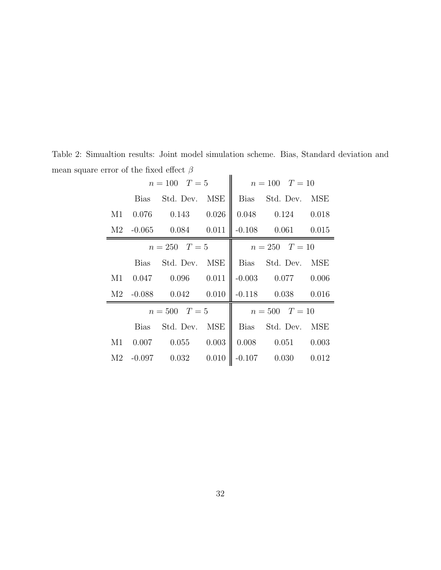|      |             | $n = 100$ $T = 5$       | $n = 100$ $T = 10$ |                                       |       |
|------|-------------|-------------------------|--------------------|---------------------------------------|-------|
|      | <b>Bias</b> | Std. Dev. MSE           |                    | Bias Std. Dev. MSE                    |       |
| M1   |             | $0.076$ $0.143$ $0.026$ |                    | $0.048$ $0.124$ $0.018$               |       |
|      |             | M2 -0.065 0.084 0.011   |                    | $\vert \vert$ -0.108 0.061 0.015      |       |
|      |             | $n = 250$ $T = 5$       |                    | $n = 250$ $T = 10$                    |       |
|      |             | Bias Std. Dev. MSE      |                    | Bias Std. Dev. MSE                    |       |
| M1 — |             | $0.047$ $0.096$ $0.011$ |                    | $\vert 0.003 \vert 0.077 \vert 0.006$ |       |
|      |             | M2 -0.088 0.042 0.010   |                    | $\vert$ -0.118 0.038 0.016            |       |
|      |             | $n = 500$ $T = 5$       |                    | $n = 500$ $T = 10$                    |       |
|      | <b>Bias</b> | Std. Dev. MSE           |                    | Bias Std. Dev. MSE                    |       |
| M1   |             | $0.007$ $0.055$ $0.003$ |                    | $0.008$ $0.051$ $0.003$               |       |
|      |             | M2 -0.097 0.032 0.010   |                    | $\vert$ -0.107 0.030                  | 0.012 |

Table 2: Simualtion results: Joint model simulation scheme. Bias, Standard deviation and mean square error of the fixed effect  $\beta$  $\mathbf{u}$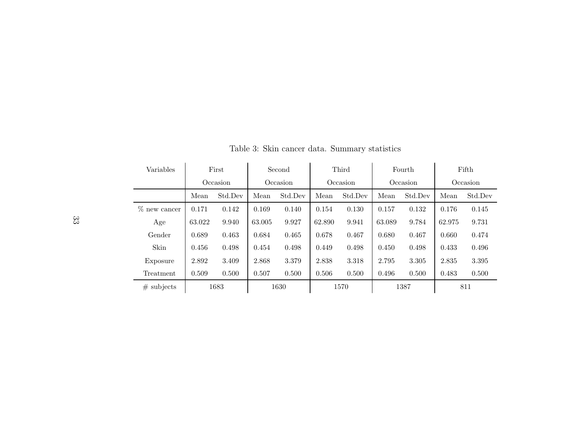| Variables       | First    |         | Second   |         | Third    |         | Fourth   |         | Fifth    |         |
|-----------------|----------|---------|----------|---------|----------|---------|----------|---------|----------|---------|
|                 | Occasion |         | Occasion |         | Occasion |         | Occasion |         | Occasion |         |
|                 | Mean     | Std.Dev | Mean     | Std.Dev | Mean     | Std.Dev | Mean     | Std.Dev | Mean     | Std.Dev |
| $\%$ new cancer | 0.171    | 0.142   | 0.169    | 0.140   | 0.154    | 0.130   | 0.157    | 0.132   | 0.176    | 0.145   |
| Age             | 63.022   | 9.940   | 63.005   | 9.927   | 62.890   | 9.941   | 63.089   | 9.784   | 62.975   | 9.731   |
| Gender          | 0.689    | 0.463   | 0.684    | 0.465   | 0.678    | 0.467   | 0.680    | 0.467   | 0.660    | 0.474   |
| Skin            | 0.456    | 0.498   | 0.454    | 0.498   | 0.449    | 0.498   | 0.450    | 0.498   | 0.433    | 0.496   |
| Exposure        | 2.892    | 3.409   | 2.868    | 3.379   | 2.838    | 3.318   | 2.795    | 3.305   | 2.835    | 3.395   |
| Treatment       | 0.509    | 0.500   | 0.507    | 0.500   | 0.506    | 0.500   | 0.496    | 0.500   | 0.483    | 0.500   |
| $#$ subjects    | 1683     |         |          | 1630    |          | 1570    |          | 1387    |          | 811     |

Table 3: Skin cancer data. Summary statistics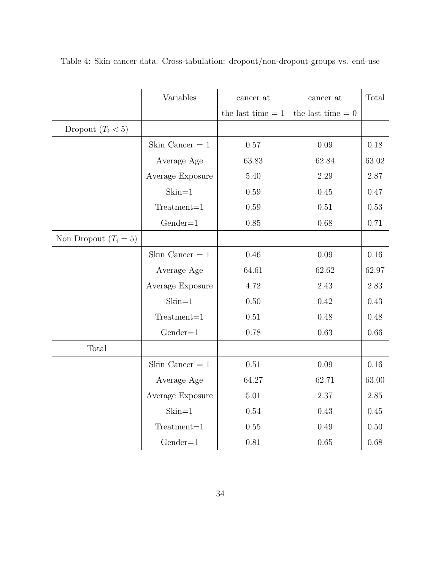|                         | Variables           | cancer at           | cancer at           | Total |
|-------------------------|---------------------|---------------------|---------------------|-------|
|                         |                     | the last time $= 1$ | the last time $= 0$ |       |
| Dropout $(T_i < 5)$     |                     |                     |                     |       |
|                         | Skin Cancer $= 1$   | 0.57                | 0.09                | 0.18  |
|                         | Average Age         | 63.83               | 62.84               | 63.02 |
|                         | Average Exposure    | 5.40                | 2.29                | 2.87  |
|                         | $\mathrm{Skin} = 1$ | 0.59                | 0.45                | 0.47  |
|                         | $Treatment = 1$     | 0.59                | 0.51                | 0.53  |
|                         | $Gender=1$          | 0.85                | 0.68                | 0.71  |
| Non Dropout $(T_i = 5)$ |                     |                     |                     |       |
|                         | Skin Cancer $= 1$   | 0.46                | 0.09                | 0.16  |
|                         | Average Age         | 64.61               | 62.62               | 62.97 |
|                         | Average Exposure    | 4.72                | 2.43                | 2.83  |
|                         | $\mathrm{Skin} = 1$ | 0.50                | 0.42                | 0.43  |
|                         | $Treatment = 1$     | 0.51                | 0.48                | 0.48  |
|                         | $Gender = 1$        | 0.78                | 0.63                | 0.66  |
| Total                   |                     |                     |                     |       |
|                         | Skin Cancer $= 1$   | 0.51                | 0.09                | 0.16  |
|                         | Average Age         | 64.27               | 62.71               | 63.00 |
|                         | Average Exposure    | $5.01\,$            | 2.37                | 2.85  |
|                         | $\mathrm{Skin} = 1$ | 0.54                | 0.43                | 0.45  |
|                         | $Treatment = 1$     | 0.55                | 0.49                | 0.50  |
|                         | $Gender=1$          | 0.81                | 0.65                | 0.68  |

Table 4: Skin cancer data. Cross-tabulation: dropout/non-dropout groups vs. end-use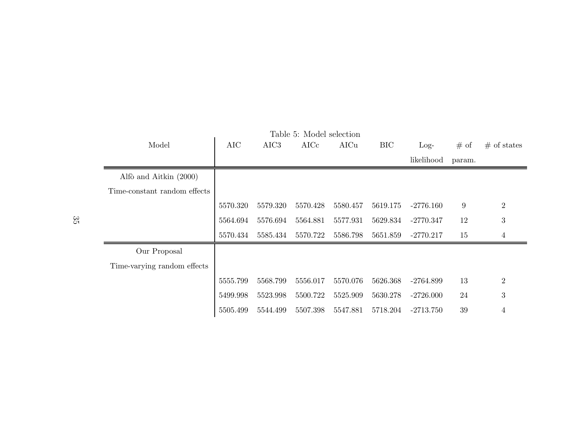|                              |          |                  | Table 5: Model selection |          |            |             |        |                  |
|------------------------------|----------|------------------|--------------------------|----------|------------|-------------|--------|------------------|
| Model                        | AIC      | AIC <sub>3</sub> | $\rm AICc$               | AICu     | <b>BIC</b> | $Log-$      | # of   | $#$ of states    |
|                              |          |                  |                          |          |            | likelihood  | param. |                  |
| Alfò and Aitkin (2000)       |          |                  |                          |          |            |             |        |                  |
| Time-constant random effects |          |                  |                          |          |            |             |        |                  |
|                              | 5570.320 | 5579.320         | 5570.428                 | 5580.457 | 5619.175   | $-2776.160$ | 9      | $\mathbf{2}$     |
|                              | 5564.694 | 5576.694         | 5564.881                 | 5577.931 | 5629.834   | $-2770.347$ | 12     | $\sqrt{3}$       |
|                              | 5570.434 | 5585.434         | 5570.722                 | 5586.798 | 5651.859   | $-2770.217$ | 15     | 4                |
| Our Proposal                 |          |                  |                          |          |            |             |        |                  |
| Time-varying random effects  |          |                  |                          |          |            |             |        |                  |
|                              | 5555.799 | 5568.799         | 5556.017                 | 5570.076 | 5626.368   | $-2764.899$ | 13     | $\overline{2}$   |
|                              | 5499.998 | 5523.998         | 5500.722                 | 5525.909 | 5630.278   | $-2726.000$ | 24     | $\boldsymbol{3}$ |
|                              | 5505.499 | 5544.499         | 5507.398                 | 5547.881 | 5718.204   | $-2713.750$ | 39     | $\overline{4}$   |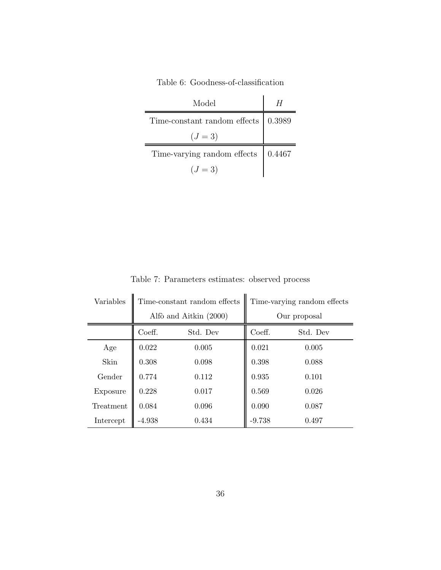Table 6: Goodness-of-classification

| Model                        |        |
|------------------------------|--------|
| Time-constant random effects | 0.3989 |
| $(J = 3)$                    |        |
| Time-varying random effects  | 0.4467 |
| $(J = 3)$                    |        |

Table 7: Parameters estimates: observed process

| Variables |          | Time-constant random effects | Time-varying random effects |          |  |
|-----------|----------|------------------------------|-----------------------------|----------|--|
|           |          | Alfò and Aitkin (2000)       | Our proposal                |          |  |
|           | Coeff.   | Std. Dev                     | Coeff.                      | Std. Dev |  |
| Age       | 0.022    | 0.005                        | 0.021                       | 0.005    |  |
| Skin      | 0.308    | 0.098                        | 0.398                       | 0.088    |  |
| Gender    | 0.774    | 0.112                        | 0.935                       | 0.101    |  |
| Exposure  | 0.228    | 0.017                        | 0.569                       | 0.026    |  |
| Treatment | 0.084    | 0.096                        | 0.090                       | 0.087    |  |
| Intercept | $-4.938$ | 0.434                        | $-9.738$                    | 0.497    |  |